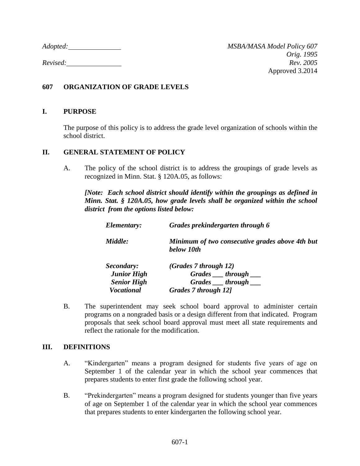*Adopted: MSBA/MASA Model Policy 607*

## **607 ORGANIZATION OF GRADE LEVELS**

## **I. PURPOSE**

The purpose of this policy is to address the grade level organization of schools within the school district.

## **II. GENERAL STATEMENT OF POLICY**

A. The policy of the school district is to address the groupings of grade levels as recognized in Minn. Stat. § 120A.05, as follows:

*[Note: Each school district should identify within the groupings as defined in Minn. Stat. § 120A.05, how grade levels shall be organized within the school district from the options listed below:*

| Elementary: | Grades prekindergarten through 6                              |
|-------------|---------------------------------------------------------------|
| Middle:     | Minimum of two consecutive grades above 4th but<br>below 10th |
| Secondary:  | (Grades 7 through 12)                                         |
| Lunior High | $C_{\mu\nu}$ des threugh                                      |

| <b>Junior High</b> | $Grades$ $Intough$     |
|--------------------|------------------------|
| <b>Senior High</b> | $Grades$ __ through __ |
| <b>Vocational</b>  | Grades 7 through 12]   |

B. The superintendent may seek school board approval to administer certain programs on a nongraded basis or a design different from that indicated. Program proposals that seek school board approval must meet all state requirements and reflect the rationale for the modification.

## **III. DEFINITIONS**

- A. "Kindergarten" means a program designed for students five years of age on September 1 of the calendar year in which the school year commences that prepares students to enter first grade the following school year.
- B. "Prekindergarten" means a program designed for students younger than five years of age on September 1 of the calendar year in which the school year commences that prepares students to enter kindergarten the following school year.